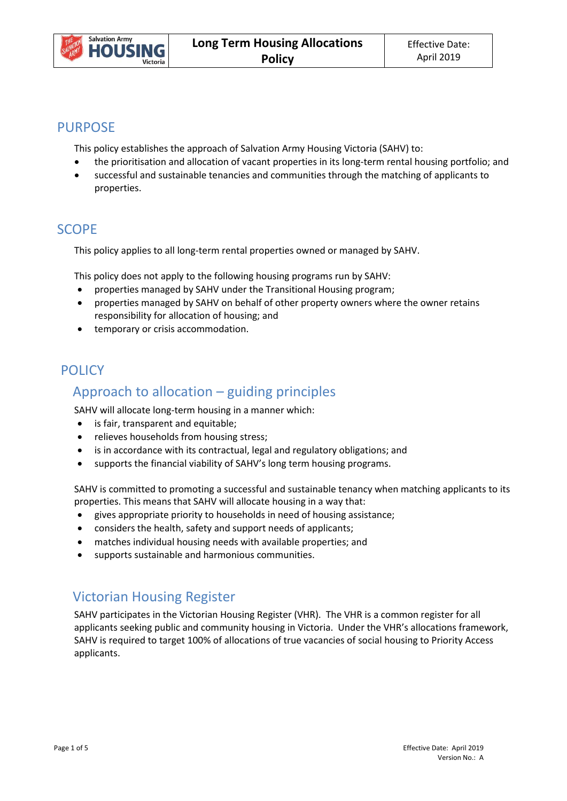

### PURPOSE

This policy establishes the approach of Salvation Army Housing Victoria (SAHV) to:

- the prioritisation and allocation of vacant properties in its long-term rental housing portfolio; and
- successful and sustainable tenancies and communities through the matching of applicants to properties.

## SCOPE

This policy applies to all long-term rental properties owned or managed by SAHV.

This policy does not apply to the following housing programs run by SAHV:

- properties managed by SAHV under the Transitional Housing program;
- properties managed by SAHV on behalf of other property owners where the owner retains responsibility for allocation of housing; and
- **•** temporary or crisis accommodation.

## POLICY

# Approach to allocation – guiding principles

SAHV will allocate long-term housing in a manner which:

- is fair, transparent and equitable;
- relieves households from housing stress;
- is in accordance with its contractual, legal and regulatory obligations; and
- supports the financial viability of SAHV's long term housing programs.

SAHV is committed to promoting a successful and sustainable tenancy when matching applicants to its properties. This means that SAHV will allocate housing in a way that:

- gives appropriate priority to households in need of housing assistance;
- considers the health, safety and support needs of applicants;
- matches individual housing needs with available properties; and
- supports sustainable and harmonious communities.

# Victorian Housing Register

SAHV participates in the Victorian Housing Register (VHR). The VHR is a common register for all applicants seeking public and community housing in Victoria. Under the VHR's allocations framework, SAHV is required to target 100% of allocations of true vacancies of social housing to Priority Access applicants.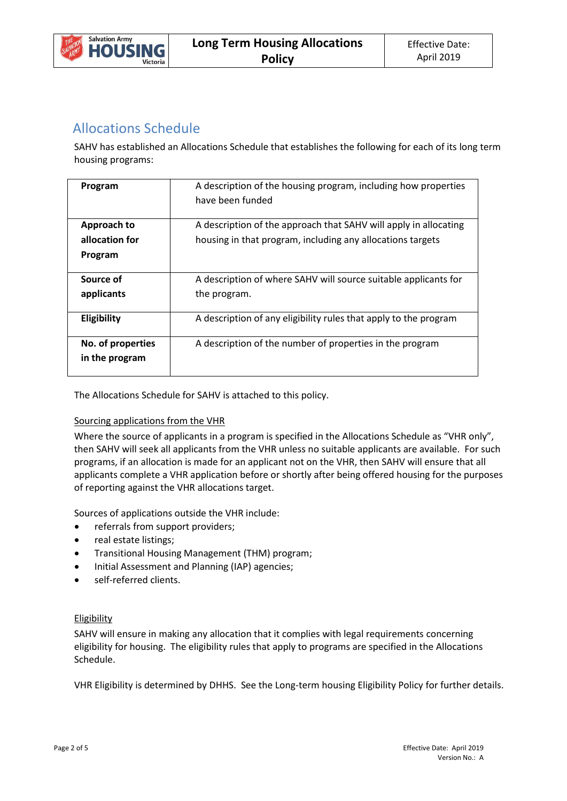

### Allocations Schedule

SAHV has established an Allocations Schedule that establishes the following for each of its long term housing programs:

| Program                                  | A description of the housing program, including how properties<br>have been funded                                             |  |  |  |
|------------------------------------------|--------------------------------------------------------------------------------------------------------------------------------|--|--|--|
| Approach to<br>allocation for<br>Program | A description of the approach that SAHV will apply in allocating<br>housing in that program, including any allocations targets |  |  |  |
| Source of<br>applicants                  | A description of where SAHV will source suitable applicants for<br>the program.                                                |  |  |  |
| Eligibility                              | A description of any eligibility rules that apply to the program                                                               |  |  |  |
| No. of properties<br>in the program      | A description of the number of properties in the program                                                                       |  |  |  |

The Allocations Schedule for SAHV is attached to this policy.

#### Sourcing applications from the VHR

Where the source of applicants in a program is specified in the Allocations Schedule as "VHR only", then SAHV will seek all applicants from the VHR unless no suitable applicants are available. For such programs, if an allocation is made for an applicant not on the VHR, then SAHV will ensure that all applicants complete a VHR application before or shortly after being offered housing for the purposes of reporting against the VHR allocations target.

Sources of applications outside the VHR include:

- referrals from support providers;
- real estate listings;
- Transitional Housing Management (THM) program;
- Initial Assessment and Planning (IAP) agencies;
- self-referred clients.

#### **Eligibility**

SAHV will ensure in making any allocation that it complies with legal requirements concerning eligibility for housing. The eligibility rules that apply to programs are specified in the Allocations Schedule.

VHR Eligibility is determined by DHHS. See the Long-term housing Eligibility Policy for further details.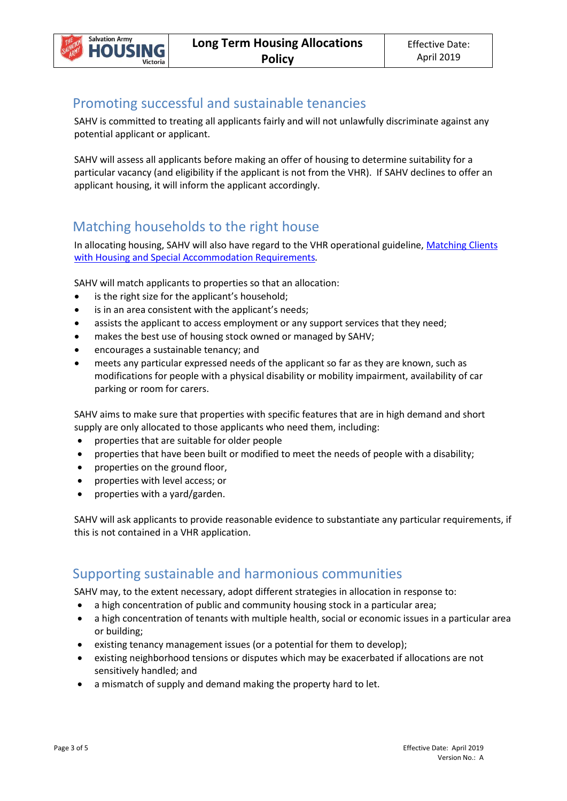# Promoting successful and sustainable tenancies

SAHV is committed to treating all applicants fairly and will not unlawfully discriminate against any potential applicant or applicant.

SAHV will assess all applicants before making an offer of housing to determine suitability for a particular vacancy (and eligibility if the applicant is not from the VHR). If SAHV declines to offer an applicant housing, it will inform the applicant accordingly.

## Matching households to the right house

In allocating housing, SAHV will also have regard to the VHR operational guideline[, Matching](https://fac.dhhs.vic.gov.au/clients-special-accommodation-requirements) Clients [with Housing and Special Accommodation Requirements](https://fac.dhhs.vic.gov.au/clients-special-accommodation-requirements)*.* 

SAHV will match applicants to properties so that an allocation:

- is the right size for the applicant's household;
- is in an area consistent with the applicant's needs;
- assists the applicant to access employment or any support services that they need;
- makes the best use of housing stock owned or managed by SAHV;
- encourages a sustainable tenancy; and
- meets any particular expressed needs of the applicant so far as they are known, such as modifications for people with a physical disability or mobility impairment, availability of car parking or room for carers.

SAHV aims to make sure that properties with specific features that are in high demand and short supply are only allocated to those applicants who need them, including:

- properties that are suitable for older people
- properties that have been built or modified to meet the needs of people with a disability;
- properties on the ground floor,
- properties with level access; or
- properties with a yard/garden.

SAHV will ask applicants to provide reasonable evidence to substantiate any particular requirements, if this is not contained in a VHR application.

### Supporting sustainable and harmonious communities

SAHV may, to the extent necessary, adopt different strategies in allocation in response to:

- a high concentration of public and community housing stock in a particular area;
- a high concentration of tenants with multiple health, social or economic issues in a particular area or building;
- existing tenancy management issues (or a potential for them to develop);
- existing neighborhood tensions or disputes which may be exacerbated if allocations are not sensitively handled; and
- a mismatch of supply and demand making the property hard to let.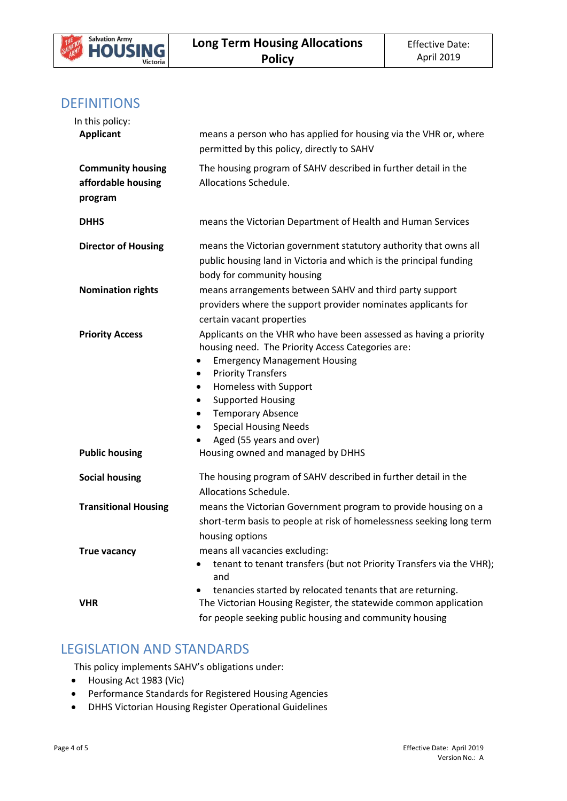

### **DEFINITIONS**

| In this policy:                                           |                                                                                                                                                                                                                                                                                                                                                                            |
|-----------------------------------------------------------|----------------------------------------------------------------------------------------------------------------------------------------------------------------------------------------------------------------------------------------------------------------------------------------------------------------------------------------------------------------------------|
| <b>Applicant</b>                                          | means a person who has applied for housing via the VHR or, where<br>permitted by this policy, directly to SAHV                                                                                                                                                                                                                                                             |
| <b>Community housing</b><br>affordable housing<br>program | The housing program of SAHV described in further detail in the<br>Allocations Schedule.                                                                                                                                                                                                                                                                                    |
| <b>DHHS</b>                                               | means the Victorian Department of Health and Human Services                                                                                                                                                                                                                                                                                                                |
| <b>Director of Housing</b>                                | means the Victorian government statutory authority that owns all<br>public housing land in Victoria and which is the principal funding<br>body for community housing                                                                                                                                                                                                       |
| <b>Nomination rights</b>                                  | means arrangements between SAHV and third party support<br>providers where the support provider nominates applicants for<br>certain vacant properties                                                                                                                                                                                                                      |
| <b>Priority Access</b>                                    | Applicants on the VHR who have been assessed as having a priority<br>housing need. The Priority Access Categories are:<br><b>Emergency Management Housing</b><br>٠<br><b>Priority Transfers</b><br>٠<br>Homeless with Support<br>٠<br><b>Supported Housing</b><br>٠<br><b>Temporary Absence</b><br>٠<br><b>Special Housing Needs</b><br>٠<br>Aged (55 years and over)<br>٠ |
| <b>Public housing</b>                                     | Housing owned and managed by DHHS                                                                                                                                                                                                                                                                                                                                          |
| <b>Social housing</b>                                     | The housing program of SAHV described in further detail in the<br>Allocations Schedule.                                                                                                                                                                                                                                                                                    |
| <b>Transitional Housing</b>                               | means the Victorian Government program to provide housing on a<br>short-term basis to people at risk of homelessness seeking long term<br>housing options                                                                                                                                                                                                                  |
| <b>True vacancy</b>                                       | means all vacancies excluding:<br>tenant to tenant transfers (but not Priority Transfers via the VHR);<br>and                                                                                                                                                                                                                                                              |
| <b>VHR</b>                                                | tenancies started by relocated tenants that are returning.<br>The Victorian Housing Register, the statewide common application<br>for people seeking public housing and community housing                                                                                                                                                                                  |

### LEGISLATION AND STANDARDS

This policy implements SAHV's obligations under:

- Housing Act 1983 (Vic)
- Performance Standards for Registered Housing Agencies
- DHHS Victorian Housing Register Operational Guidelines